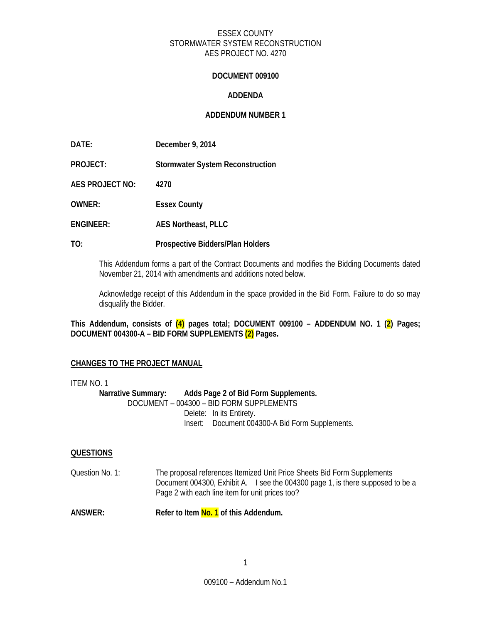## **DOCUMENT 009100**

# **ADDENDA**

# **ADDENDUM NUMBER 1**

**PROJECT: Stormwater System Reconstruction** 

**AES PROJECT NO: 4270** 

**OWNER: Essex County** 

- **ENGINEER: AES Northeast, PLLC**
- **TO: Prospective Bidders/Plan Holders**

This Addendum forms a part of the Contract Documents and modifies the Bidding Documents dated November 21, 2014 with amendments and additions noted below.

Acknowledge receipt of this Addendum in the space provided in the Bid Form. Failure to do so may disqualify the Bidder.

**This Addendum, consists of (4) pages total; DOCUMENT 009100 – ADDENDUM NO. 1 (2) Pages; DOCUMENT 004300-A – BID FORM SUPPLEMENTS (2) Pages.** 

#### **CHANGES TO THE PROJECT MANUAL**

ITEM NO. 1 **Narrative Summary: Adds Page 2 of Bid Form Supplements.**  DOCUMENT – 004300 – BID FORM SUPPLEMENTS Delete: In its Entirety. Insert: Document 004300-A Bid Form Supplements.

#### **QUESTIONS**

Question No. 1: The proposal references Itemized Unit Price Sheets Bid Form Supplements Document 004300, Exhibit A. I see the 004300 page 1, is there supposed to be a Page 2 with each line item for unit prices too?

**ANSWER: Refer to Item No. 1 of this Addendum.**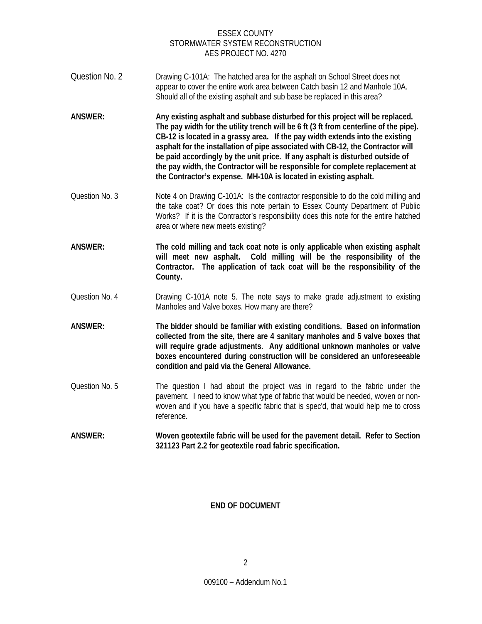- Question No. 2 Drawing C-101A: The hatched area for the asphalt on School Street does not appear to cover the entire work area between Catch basin 12 and Manhole 10A. Should all of the existing asphalt and sub base be replaced in this area?
- **ANSWER: Any existing asphalt and subbase disturbed for this project will be replaced. The pay width for the utility trench will be 6 ft (3 ft from centerline of the pipe). CB-12 is located in a grassy area. If the pay width extends into the existing asphalt for the installation of pipe associated with CB-12, the Contractor will be paid accordingly by the unit price. If any asphalt is disturbed outside of the pay width, the Contractor will be responsible for complete replacement at the Contractor's expense. MH-10A is located in existing asphalt.**
- Question No. 3 Note 4 on Drawing C-101A: Is the contractor responsible to do the cold milling and the take coat? Or does this note pertain to Essex County Department of Public Works? If it is the Contractor's responsibility does this note for the entire hatched area or where new meets existing?
- **ANSWER: The cold milling and tack coat note is only applicable when existing asphalt will meet new asphalt. Cold milling will be the responsibility of the Contractor. The application of tack coat will be the responsibility of the County.**
- Question No. 4 Drawing C-101A note 5. The note says to make grade adjustment to existing Manholes and Valve boxes. How many are there?
- **ANSWER: The bidder should be familiar with existing conditions. Based on information collected from the site, there are 4 sanitary manholes and 5 valve boxes that will require grade adjustments. Any additional unknown manholes or valve boxes encountered during construction will be considered an unforeseeable condition and paid via the General Allowance.**
- Question No. 5 The question I had about the project was in regard to the fabric under the pavement. I need to know what type of fabric that would be needed, woven or nonwoven and if you have a specific fabric that is spec'd, that would help me to cross reference.
- **ANSWER: Woven geotextile fabric will be used for the pavement detail. Refer to Section 321123 Part 2.2 for geotextile road fabric specification.**

# **END OF DOCUMENT**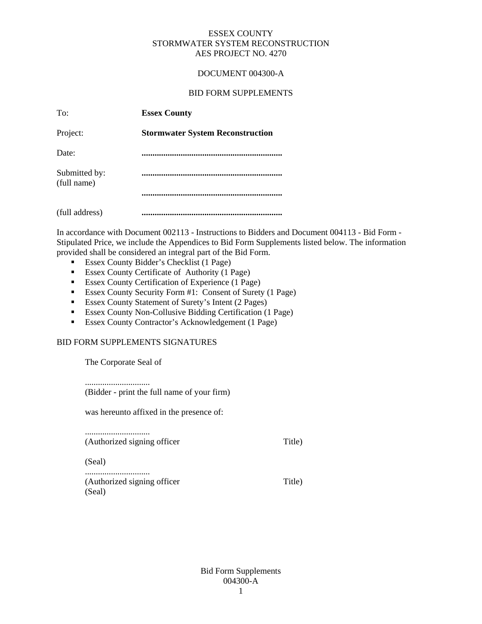## DOCUMENT 004300-A

## BID FORM SUPPLEMENTS

| To:                          | <b>Essex County</b>                     |
|------------------------------|-----------------------------------------|
| Project:                     | <b>Stormwater System Reconstruction</b> |
| Date:                        |                                         |
| Submitted by:<br>(full name) |                                         |
|                              |                                         |
| (full address)               |                                         |

In accordance with Document 002113 - Instructions to Bidders and Document 004113 - Bid Form - Stipulated Price, we include the Appendices to Bid Form Supplements listed below. The information provided shall be considered an integral part of the Bid Form.

- **Essex County Bidder's Checklist (1 Page)**
- Essex County Certificate of Authority (1 Page)
- **Essex County Certification of Experience (1 Page)**
- Essex County Security Form #1: Consent of Surety (1 Page)
- Essex County Statement of Surety's Intent (2 Pages)
- Essex County Non-Collusive Bidding Certification (1 Page)
- Essex County Contractor's Acknowledgement (1 Page)

## BID FORM SUPPLEMENTS SIGNATURES

The Corporate Seal of

.............................. (Bidder - print the full name of your firm)

was hereunto affixed in the presence of:

.............................. (Authorized signing officer Title) (Seal) .............................. (Authorized signing officer Title) (Seal)